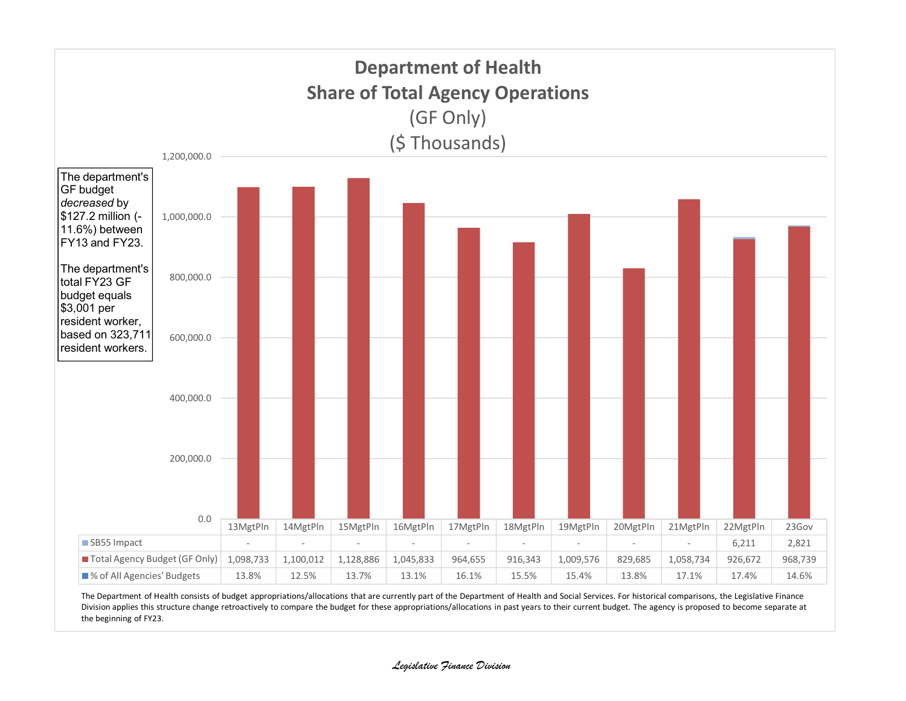

The Department of Health consists of budget appropriations/allocations that are currently part of the Department of Health and Social Services. For historical comparisons, the Legislative Finance Division applies this structure change retroactively to compare the budget for these appropriations/allocations in past years to their current budget. The agency is proposed to become separate at the beginning of FY23.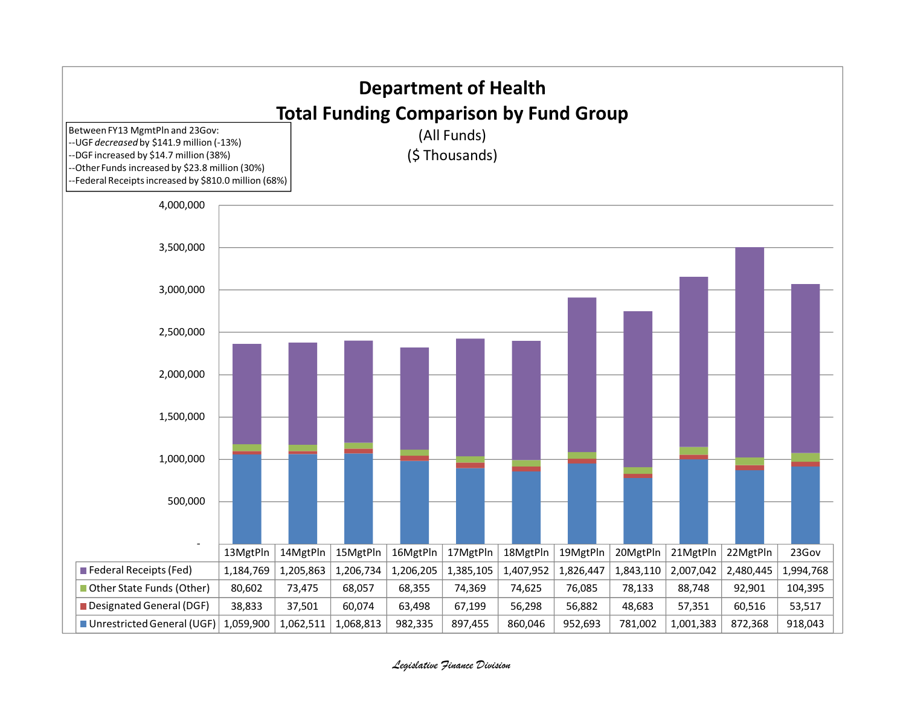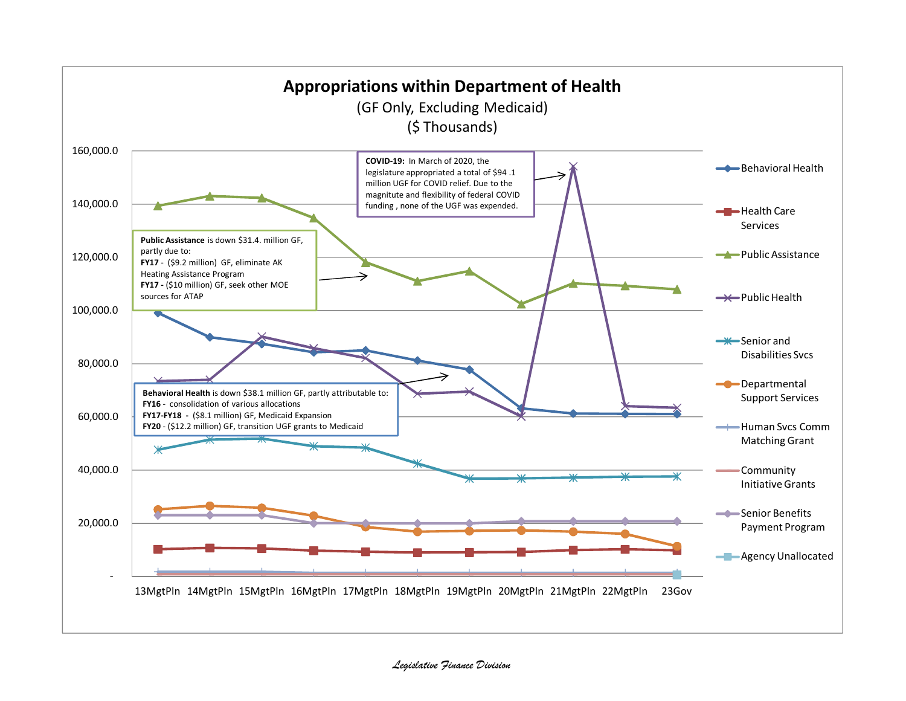